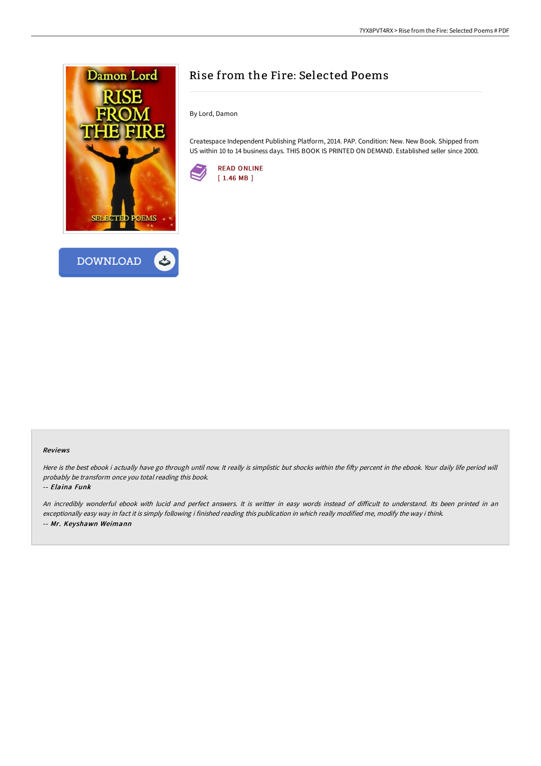



## Rise from the Fire: Selected Poems

By Lord, Damon

Createspace Independent Publishing Platform, 2014. PAP. Condition: New. New Book. Shipped from US within 10 to 14 business days. THIS BOOK IS PRINTED ON DEMAND. Established seller since 2000.



## Reviews

Here is the best ebook i actually have go through until now. It really is simplistic but shocks within the fifty percent in the ebook. Your daily life period will probably be transform once you total reading this book.

## -- Elaina Funk

An incredibly wonderful ebook with lucid and perfect answers. It is writter in easy words instead of difficult to understand. Its been printed in an exceptionally easy way in fact it is simply following i finished reading this publication in which really modified me, modify the way i think. -- Mr. Keyshawn Weimann